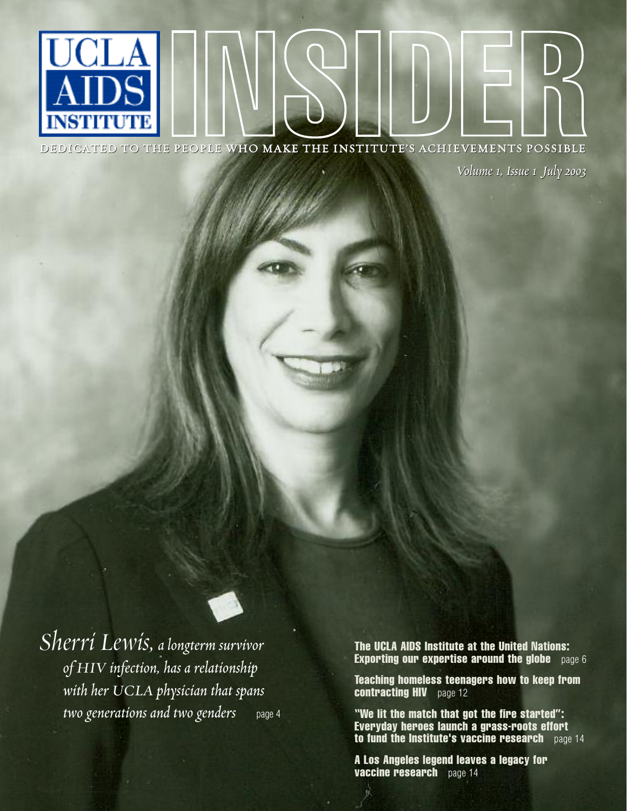DEDICATED TO THE PEOPLE WHO MAKE THE INSTITUTE'S ACHIEVEMENTS POSSIBLE

*Volume 1, Issue 1 July 2003 1, Issue* 

*Sherri Lewis,a longterm survivor of HIV infection, has a relationship with her UCLA physician that spans two generations and two genders* page 4

**The UCLA AIDS Institute at the United Nations: Exporting our expertise around the globe** page 6

**Teaching homeless teenagers how to keep from contracting HIV** page 12

**"We lit the match that got the fire started": Everyday heroes launch a grass-roots effort to fund the Institute's vaccine research** page 14

**A Los Angeles legend leaves a legacy for vaccine research** page 14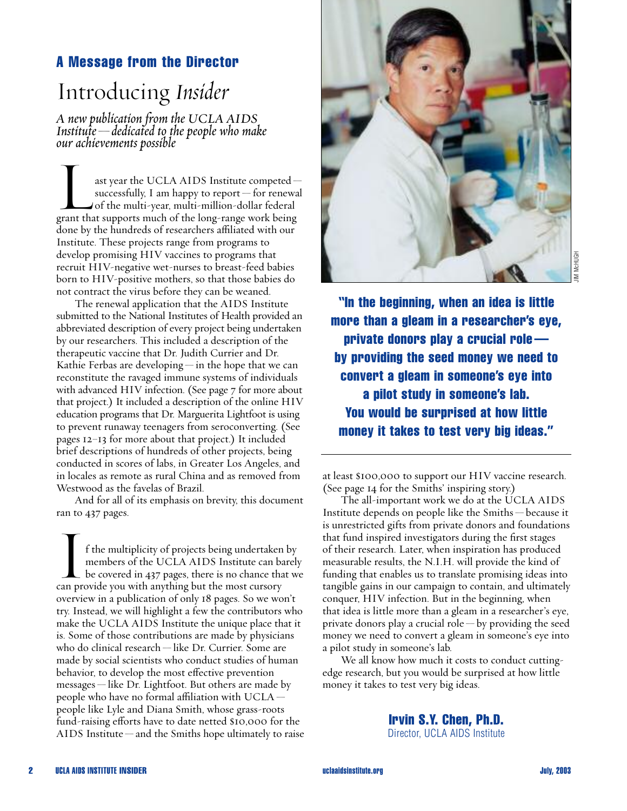# **A Message from the Director**

# Introducing *Insider*

*A new publication from the UCLA AIDS Institute—dedicated to the people who make our achievements possible*

our achievements possible<br>ast year the UCLA AIDS Institute competed—<br>successfully, I am happy to report—for renewal<br>of the multi-year, multi-million-dollar federal successfully, I am happy to report — for renewal of the multi-year, multi-million-dollar federal grant that supports much of the long-range work being done by the hundreds of researchers affiliated with our Institute. These projects range from programs to develop promising HIV vaccines to programs that recruit HIV-negative wet-nurses to breast-feed babies born to HIV-positive mothers, so that those babies do not contract the virus before they can be weaned.

The renewal application that the AIDS Institute submitted to the National Institutes of Health provided an abbreviated description of every project being undertaken by our researchers. This included a description of the therapeutic vaccine that Dr. Judith Currier and Dr. Kathie Ferbas are developing — in the hope that we can reconstitute the ravaged immune systems of individuals with advanced HIV infection. (See page 7 for more about that project.) It included a description of the online HIV education programs that Dr. Marguerita Lightfoot is using to prevent runaway teenagers from seroconverting. (See pages 12–13 for more about that project.) It included brief descriptions of hundreds of other projects, being conducted in scores of labs, in Greater Los Angeles, and in locales as remote as rural China and as removed from Westwood as the favelas of Brazil.

And for all of its emphasis on brevity, this document ran to 437 pages.

ran to 437 pages.<br>
If the multiplicity of projects being undertaken by<br>
members of the UCLA AIDS Institute can barely<br>
be covered in 437 pages, there is no chance that we members of the UCLA AIDS Institute can barely can provide you with anything but the most cursory overview in a publication of only 18 pages. So we won't try. Instead, we will highlight a few the contributors who make the UCLA AIDS Institute the unique place that it is. Some of those contributions are made by physicians who do clinical research — like Dr. Currier. Some are made by social scientists who conduct studies of human behavior, to develop the most effective prevention messages — like Dr. Lightfoot. But others are made by people who have no formal affiliation with  $UCLA$  people like Lyle and Diana Smith, whose grass-roots fund-raising efforts have to date netted \$10,000 for the AIDS Institute—and the Smiths hope ultimately to raise



**"In the beginning, when an idea is little more than a gleam in a researcher's eye, private donors play a crucial role by providing the seed money we need to convert a gleam in someone's eye into a pilot study in someone's lab. You would be surprised at how little money it takes to test very big ideas."**

at least \$100,000 to support our HIV vaccine research. (See page 14 for the Smiths' inspiring story.)

The all-important work we do at the UCLA AIDS Institute depends on people like the Smiths — because it is unrestricted gifts from private donors and foundations that fund inspired investigators during the first stages of their research. Later, when inspiration has produced measurable results, the N.I.H. will provide the kind of funding that enables us to translate promising ideas into tangible gains in our campaign to contain, and ultimately conquer, HIV infection. But in the beginning, when that idea is little more than a gleam in a researcher's eye, private donors play a crucial role — by providing the seed money we need to convert a gleam in someone's eye into a pilot study in someone's lab.

We all know how much it costs to conduct cuttingedge research, but you would be surprised at how little money it takes to test very big ideas.

> **Irvin S.Y. Chen, Ph.D.** Director, UCLA AIDS Institute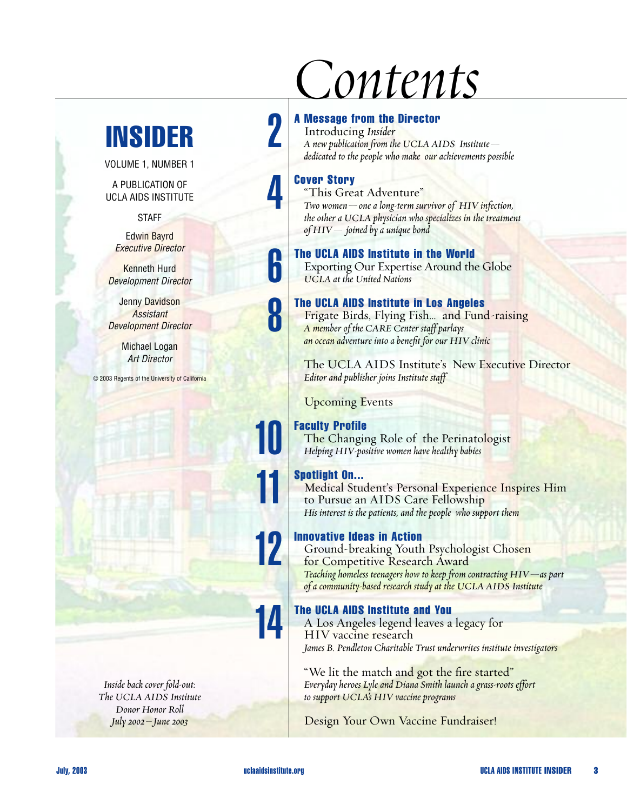# **INSIDER**

VOLUME 1, NUMBER 1

A PUBLICATION OF UCLA AIDS INSTITUTE

**STAFF** 

Edwin Bayrd *Executive Director*

Kenneth Hurd *Development Director*

Jenny Davidson *Assistant Development Director*

> Michael Logan *Art Director*

© 2003 Regents of the University of California

*Inside back cover fold-out: The UCLA AIDS Institute Donor Honor Roll July 2002–June 2003*

# *Contents*

#### **A Message from the Director**

Introducing *Insider A new publication from the UCLA AIDS Institute dedicated to the people who make our achievements possible*

## **Cover Story**

 $\Box$ 

4

**h** 

|<br>|<br>|

11

11

12

14

"This Great Adventure" *Two women—one a long-term survivor of HIV infection, the other a UCLA physician who specializes in the treatment of HIV— joined by a unique bond*

### **The UCLA AIDS Institute in the World**

Exporting Our Expertise Around the Globe *UCLA at the United Nations*

## **The UCLA AIDS Institute in Los Angeles**

Frigate Birds, Flying Fish… and Fund-raising *A member of the CARE Center staff parlays an ocean adventure into a benefit for our HIV clinic*

The UCLA AIDS Institute's New Executive Director *Editor and publisher joins Institute staff*

Upcoming Events

# **Faculty Profile**

The Changing Role of the Perinatologist *Helping HIV-positive women have healthy babies*

# **Spotlight On...**

Medical Student's Personal Experience Inspires Him to Pursue an AIDS Care Fellowship *His interest is the patients, and the people who support them*

# **Innovative Ideas in Action**

Ground-breaking Youth Psychologist Chosen for Competitive Research Award *Teaching homeless teenagers how to keep from contracting HIV—as part of a community-based research study at the UCLA AIDS Institute*

# **The UCLA AIDS Institute and You**

A Los Angeles legend leaves a legacy for HIV vaccine research *James B. Pendleton Charitable Trust underwrites institute investigators*

"We lit the match and got the fire started" *Everyday heroes Lyle and Diana Smith launch a grass-roots effort to support UCLA's HIV vaccine programs*

Design Your Own Vaccine Fundraiser!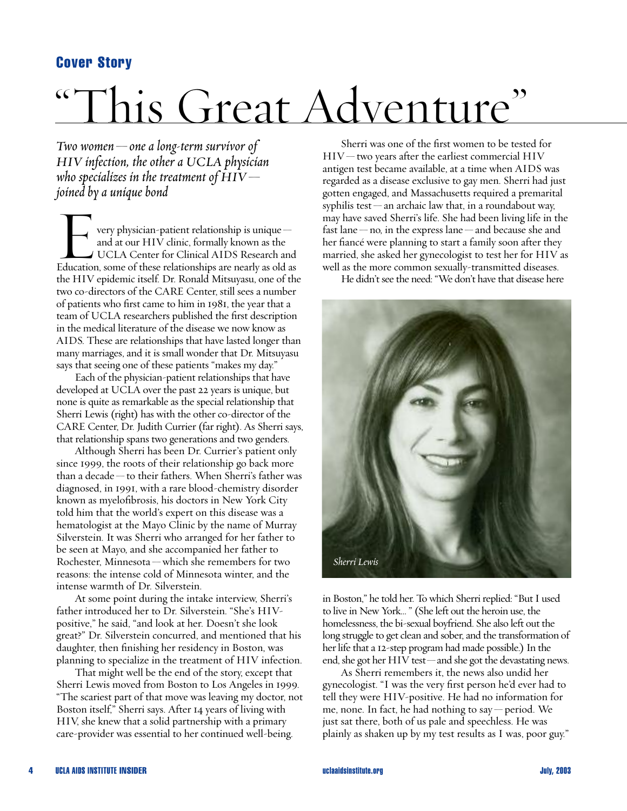# **Cover Story**

# "This Great Adventure"

*Two women—one a long-term survivor of HIV infection, the other a UCLA physician who specializes in the treatment of HIV joined by a unique bond*

very physician-patient relationship is unique and at our HIV clinic, formally known as the UCLA Center for Clinical AIDS Research and Education, some of these relationships are nearly as old as the HIV epidemic itself. Dr. Ronald Mitsuyasu, one of the two co-directors of the CARE Center, still sees a number of patients who first came to him in 1981, the year that a team of UCLA researchers published the first description in the medical literature of the disease we now know as AIDS. These are relationships that have lasted longer than many marriages, and it is small wonder that Dr. Mitsuyasu says that seeing one of these patients "makes my day."

Each of the physician-patient relationships that have developed at UCLA over the past 22 years is unique, but none is quite as remarkable as the special relationship that Sherri Lewis (right) has with the other co-director of the CARE Center, Dr. Judith Currier (far right). As Sherri says, that relationship spans two generations and two genders.

Although Sherri has been Dr. Currier's patient only since 1999, the roots of their relationship go back more than a decade—to their fathers. When Sherri's father was diagnosed, in 1991, with a rare blood-chemistry disorder known as myelofibrosis, his doctors in New York City told him that the world's expert on this disease was a hematologist at the Mayo Clinic by the name of Murray Silverstein. It was Sherri who arranged for her father to be seen at Mayo, and she accompanied her father to Rochester, Minnesota—which she remembers for two reasons: the intense cold of Minnesota winter, and the intense warmth of Dr. Silverstein.

At some point during the intake interview, Sherri's father introduced her to Dr. Silverstein. "She's HIVpositive," he said, "and look at her. Doesn't she look great?" Dr. Silverstein concurred, and mentioned that his daughter, then finishing her residency in Boston, was planning to specialize in the treatment of HIV infection.

That might well be the end of the story, except that Sherri Lewis moved from Boston to Los Angeles in 1999. "The scariest part of that move was leaving my doctor, not Boston itself," Sherri says. After 14 years of living with HIV, she knew that a solid partnership with a primary care-provider was essential to her continued well-being.

Sherri was one of the first women to be tested for  $HIV$ —two years after the earliest commercial  $HIV$ antigen test became available, at a time when AIDS was regarded as a disease exclusive to gay men. Sherri had just gotten engaged, and Massachusetts required a premarital syphilis test — an archaic law that, in a roundabout way, may have saved Sherri's life. She had been living life in the fast lane—no, in the express lane—and because she and her fiancé were planning to start a family soon after they married, she asked her gynecologist to test her for HIV as well as the more common sexually-transmitted diseases.

He didn't see the need: "We don't have that disease here



in Boston," he told her. To which Sherri replied: "But I used to live in New York… " (She left out the heroin use, the homelessness, the bi-sexual boyfriend. She also left out the long struggle to get clean and sober, and the transformation of her life that a 12-step program had made possible.) In the end, she got her HIV test—and she got the devastating news.

As Sherri remembers it, the news also undid her gynecologist. "I was the very first person he'd ever had to tell they were HIV-positive. He had no information for me, none. In fact, he had nothing to say—period. We just sat there, both of us pale and speechless. He was plainly as shaken up by my test results as I was, poor guy."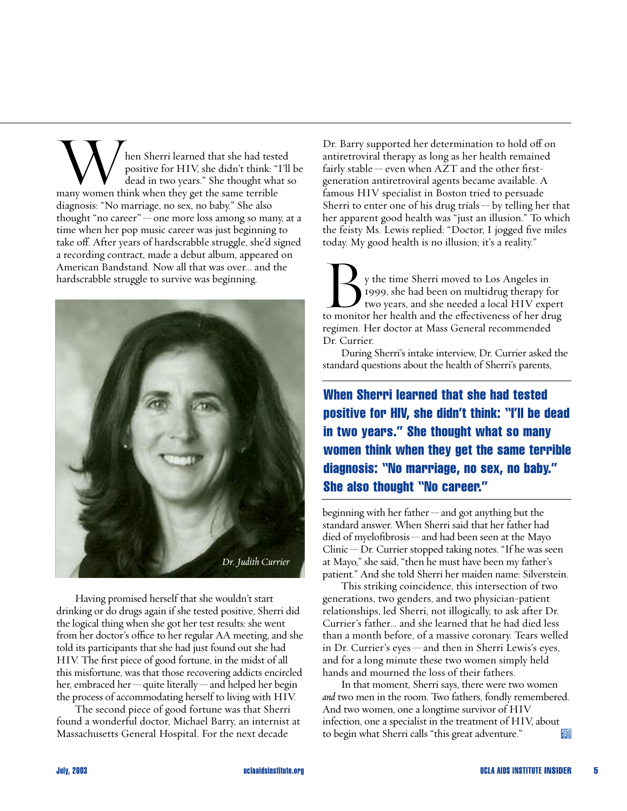When Sherri learned that she had tested<br>positive for HIV, she didn't think: "I'll<br>dead in two years." She thought what : positive for HIV, she didn't think: "I'll be dead in two years." She thought what so many women think when they get the same terrible diagnosis: "No marriage, no sex, no baby." She also thought "no career"—one more loss among so many, at a time when her pop music career was just beginning to take off. After years of hardscrabble struggle, she'd signed a recording contract, made a debut album, appeared on American Bandstand. Now all that was over… and the hardscrabble struggle to survive was beginning.



Having promised herself that she wouldn't start drinking or do drugs again if she tested positive, Sherri did the logical thing when she got her test results: she went from her doctor's office to her regular AA meeting, and she told its participants that she had just found out she had HIV. The first piece of good fortune, in the midst of all this misfortune, was that those recovering addicts encircled her, embraced her—quite literally—and helped her begin the process of accommodating herself to living with HIV.

The second piece of good fortune was that Sherri found a wonderful doctor, Michael Barry, an internist at Massachusetts General Hospital. For the next decade

Dr. Barry supported her determination to hold off on antiretroviral therapy as long as her health remained fairly stable — even when AZT and the other firstgeneration antiretroviral agents became available. A famous HIV specialist in Boston tried to persuade Sherri to enter one of his drug trials  $-$  by telling her that her apparent good health was "just an illusion." To which the feisty Ms. Lewis replied: "Doctor, I jogged five miles today. My good health is no illusion; it's a reality."

today. My good health is no illusion; it's a reality."<br>
y the time Sherri moved to Los Angeles in<br>
1999, she had been on multidrug therapy for<br>
two years, and she needed a local HIV expert 1999, she had been on multidrug therapy for to monitor her health and the effectiveness of her drug regimen. Her doctor at Mass General recommended Dr. Currier.

During Sherri's intake interview, Dr. Currier asked the standard questions about the health of Sherri's parents,

**When Sherri learned that she had tested positive for HIV, she didn't think: "I'll be dead in two years." She thought what so many women think when they get the same terrible diagnosis: "No marriage, no sex, no baby." She also thought "No career."**

beginning with her father—and got anything but the standard answer. When Sherri said that her father had died of myelofibrosis—and had been seen at the Mayo Clinic—Dr. Currier stopped taking notes. "If he was seen at Mayo," she said, "then he must have been my father's patient." And she told Sherri her maiden name: Silverstein.

This striking coincidence, this intersection of two generations, two genders, and two physician-patient relationships, led Sherri, not illogically, to ask after Dr. Currier's father… and she learned that he had died less than a month before, of a massive coronary. Tears welled in Dr. Currier's eyes — and then in Sherri Lewis's eyes, and for a long minute these two women simply held hands and mourned the loss of their fathers.

In that moment, Sherri says, there were two women *and* two men in the room. Two fathers, fondly remembered. And two women, one a longtime survivor of HIV infection, one a specialist in the treatment of HIV, about to begin what Sherri calls "this great adventure." **Aibs**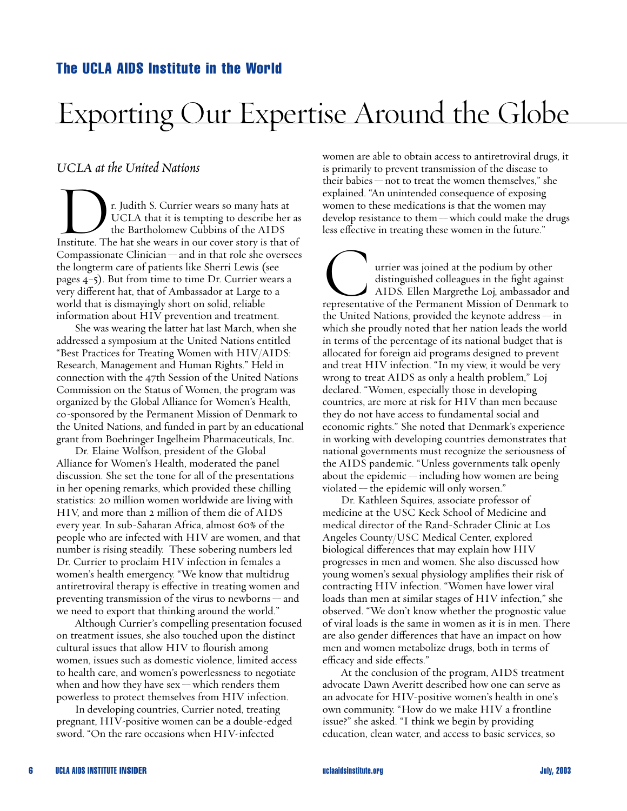## **The UCLA AIDS Institute in the World**

# Exporting Our Expertise Around the Globe

# *UCLA at the United Nations*

UCLA at the United Nations<br>
r. Judith S. Currier wears so many hats at<br>
UCLA that it is tempting to describe her<br>
the Bartholomew Cubbins of the AIDS UCLA that it is tempting to describe her as the Bartholomew Cubbins of the AIDS Institute. The hat she wears in our cover story is that of Compassionate Clinician — and in that role she oversees the longterm care of patients like Sherri Lewis (see pages 4–5). But from time to time Dr. Currier wears a very different hat, that of Ambassador at Large to a world that is dismayingly short on solid, reliable information about HIV prevention and treatment.

She was wearing the latter hat last March, when she addressed a symposium at the United Nations entitled "Best Practices for Treating Women with HIV/AIDS: Research, Management and Human Rights." Held in connection with the 47th Session of the United Nations Commission on the Status of Women, the program was organized by the Global Alliance for Women's Health, co-sponsored by the Permanent Mission of Denmark to the United Nations, and funded in part by an educational grant from Boehringer Ingelheim Pharmaceuticals, Inc.

Dr. Elaine Wolfson, president of the Global Alliance for Women's Health, moderated the panel discussion. She set the tone for all of the presentations in her opening remarks, which provided these chilling statistics: 20 million women worldwide are living with HIV, and more than 2 million of them die of AIDS every year. In sub-Saharan Africa, almost 60% of the people who are infected with HIV are women, and that number is rising steadily. These sobering numbers led Dr. Currier to proclaim HIV infection in females a women's health emergency. "We know that multidrug antiretroviral therapy is effective in treating women and preventing transmission of the virus to newborns — and we need to export that thinking around the world."

Although Currier's compelling presentation focused on treatment issues, she also touched upon the distinct cultural issues that allow HIV to flourish among women, issues such as domestic violence, limited access to health care, and women's powerlessness to negotiate when and how they have  $sex$  — which renders them powerless to protect themselves from HIV infection.

In developing countries, Currier noted, treating pregnant, HIV-positive women can be a double-edged sword. "On the rare occasions when HIV-infected

women are able to obtain access to antiretroviral drugs, it is primarily to prevent transmission of the disease to their babies—not to treat the women themselves," she explained. "An unintended consequence of exposing women to these medications is that the women may develop resistance to them—which could make the drugs less effective in treating these women in the future."

less effective in treating these women in the future.<br>
urrier was joined at the podium by other<br>
distinguished colleagues in the fight against<br>AIDS. Ellen Margrethe Loj, ambassador and distinguished colleagues in the fight against representative of the Permanent Mission of Denmark to the United Nations, provided the keynote address — in which she proudly noted that her nation leads the world in terms of the percentage of its national budget that is allocated for foreign aid programs designed to prevent and treat HIV infection. "In my view, it would be very wrong to treat AIDS as only a health problem," Loj declared. "Women, especially those in developing countries, are more at risk for HIV than men because they do not have access to fundamental social and economic rights." She noted that Denmark's experience in working with developing countries demonstrates that national governments must recognize the seriousness of the AIDS pandemic. "Unless governments talk openly about the epidemic—including how women are being violated—the epidemic will only worsen."

Dr. Kathleen Squires, associate professor of medicine at the USC Keck School of Medicine and medical director of the Rand-Schrader Clinic at Los Angeles County/USC Medical Center, explored biological differences that may explain how HIV progresses in men and women. She also discussed how young women's sexual physiology amplifies their risk of contracting HIV infection. "Women have lower viral loads than men at similar stages of HIV infection," she observed. "We don't know whether the prognostic value of viral loads is the same in women as it is in men. There are also gender differences that have an impact on how men and women metabolize drugs, both in terms of efficacy and side effects."

At the conclusion of the program, AIDS treatment advocate Dawn Averitt described how one can serve as an advocate for HIV-positive women's health in one's own community. "How do we make HIV a frontline issue?" she asked. "I think we begin by providing education, clean water, and access to basic services, so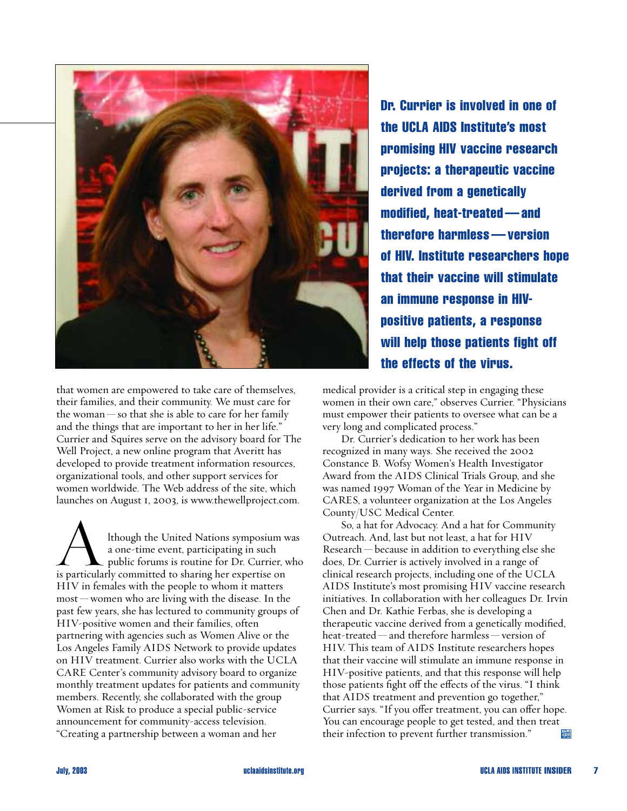

that women are empowered to take care of themselves, their families, and their community. We must care for the woman  $-$  so that she is able to care for her family and the things that are important to her in her life." Currier and Squires serve on the advisory board for The Well Project, a new online program that Averitt has developed to provide treatment information resources, organizational tools, and other support services for women worldwide. The Web address of the site, which launches on August 1, 2003, is www.thewellproject.com.

launches on August I, 2003, is www.thewellproject.com.<br>
Ithough the United Nations symposium was<br>
a one-time event, participating in such<br>
public forums is routine for Dr. Currier, who a one-time event, participating in such is particularly committed to sharing her expertise on HIV in females with the people to whom it matters most — women who are living with the disease. In the past few years, she has lectured to community groups of HIV-positive women and their families, often partnering with agencies such as Women Alive or the Los Angeles Family AIDS Network to provide updates on HIV treatment. Currier also works with the UCLA CARE Center's community advisory board to organize monthly treatment updates for patients and community members. Recently, she collaborated with the group Women at Risk to produce a special public-service announcement for community-access television. "Creating a partnership between a woman and her

**Dr. Currier is involved in one of the UCLA AIDS Institute's most promising HIV vaccine research projects: a therapeutic vaccine derived from a genetically modified, heat-treated — and therefore harmless — version of HIV. Institute researchers hope that their vaccine will stimulate an immune response in HIVpositive patients, a response will help those patients fight off the effects of the virus.**

medical provider is a critical step in engaging these women in their own care," observes Currier. "Physicians must empower their patients to oversee what can be a very long and complicated process."

Dr. Currier's dedication to her work has been recognized in many ways. She received the 2002 Constance B. Wofsy Women's Health Investigator Award from the AIDS Clinical Trials Group, and she was named 1997 Woman of the Year in Medicine by CARES, a volunteer organization at the Los Angeles County/USC Medical Center.

So, a hat for Advocacy. And a hat for Community Outreach. And, last but not least, a hat for HIV Research — because in addition to everything else she does, Dr. Currier is actively involved in a range of clinical research projects, including one of the UCLA AIDS Institute's most promising HIV vaccine research initiatives. In collaboration with her colleagues Dr. Irvin Chen and Dr. Kathie Ferbas, she is developing a therapeutic vaccine derived from a genetically modified, heat-treated — and therefore harmless — version of HIV. This team of AIDS Institute researchers hopes that their vaccine will stimulate an immune response in HIV-positive patients, and that this response will help those patients fight off the effects of the virus. "I think that AIDS treatment and prevention go together," Currier says. "If you offer treatment, you can offer hope. You can encourage people to get tested, and then treat their infection to prevent further transmission." AIDS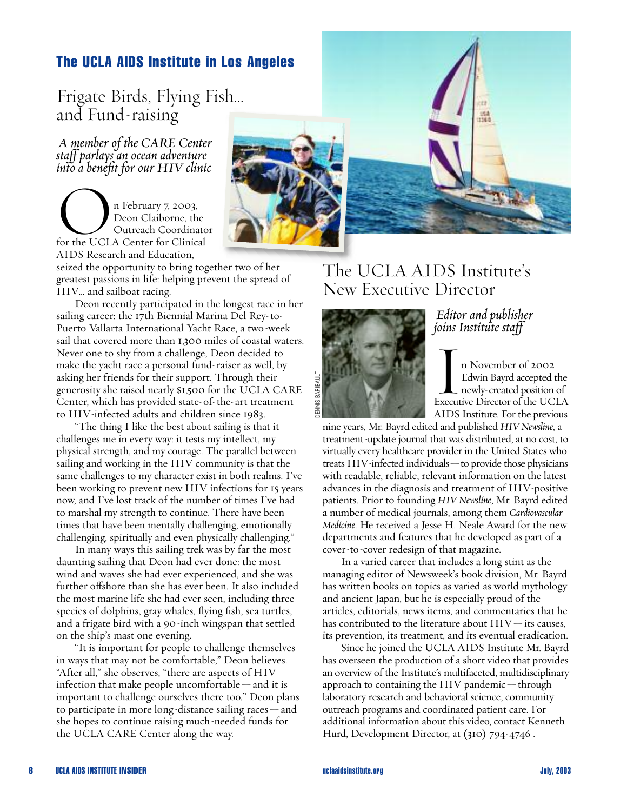# **The UCLA AIDS Institute in Los Angeles**

Frigate Birds, Flying Fish… and Fund-raising

*A member of the CARE Center staff parlays an ocean adventure into a benefit for our HIV clinic*

nto a benefit for our HIV cu n February 7, 2003,<br>Deon Claiborne, the Outreach Coordinator for the UCLA Center for Clinical AIDS Research and Education,

seized the opportunity to bring together two of her greatest passions in life: helping prevent the spread of HIV… and sailboat racing.

Deon recently participated in the longest race in her sailing career: the 17th Biennial Marina Del Rey-to-Puerto Vallarta International Yacht Race, a two-week sail that covered more than 1,300 miles of coastal waters. Never one to shy from a challenge, Deon decided to make the yacht race a personal fund-raiser as well, by asking her friends for their support. Through their generosity she raised nearly \$1,500 for the UCLA CARE Center, which has provided state-of-the-art treatment to HIV-infected adults and children since 1983.

"The thing I like the best about sailing is that it challenges me in every way: it tests my intellect, my physical strength, and my courage. The parallel between sailing and working in the HIV community is that the same challenges to my character exist in both realms. I've been working to prevent new HIV infections for 15 years now, and I've lost track of the number of times I've had to marshal my strength to continue. There have been times that have been mentally challenging, emotionally challenging, spiritually and even physically challenging."

In many ways this sailing trek was by far the most daunting sailing that Deon had ever done: the most wind and waves she had ever experienced, and she was further offshore than she has ever been. It also included the most marine life she had ever seen, including three species of dolphins, gray whales, flying fish, sea turtles, and a frigate bird with a 90-inch wingspan that settled on the ship's mast one evening.

"It is important for people to challenge themselves in ways that may not be comfortable," Deon believes. "After all," she observes, "there are aspects of HIV infection that make people uncomfortable — and it is important to challenge ourselves there too." Deon plans to participate in more long-distance sailing races — and she hopes to continue raising much-needed funds for the UCLA CARE Center along the way.



# The UCLA AIDS Institute's New Executive Director



## *Editor and publisher joins Institute staff*

In November of 2002 Edwin Bayrd accepted the newly-created position of Executive Director of the UCLA AIDS Institute. For the previous

nine years, Mr. Bayrd edited and published *HIV Newsline*, a treatment-update journal that was distributed, at no cost, to virtually every healthcare provider in the United States who treats HIV-infected individuals—to provide those physicians with readable, reliable, relevant information on the latest advances in the diagnosis and treatment of HIV-positive patients. Prior to founding *HIV Newsline*, Mr. Bayrd edited a number of medical journals, among them *Cardiovascular Medicine*. He received a Jesse H. Neale Award for the new departments and features that he developed as part of a cover-to-cover redesign of that magazine.

In a varied career that includes a long stint as the managing editor of Newsweek's book division, Mr. Bayrd has written books on topics as varied as world mythology and ancient Japan, but he is especially proud of the articles, editorials, news items, and commentaries that he has contributed to the literature about HIV—its causes, its prevention, its treatment, and its eventual eradication.

Since he joined the UCLA AIDS Institute Mr. Bayrd has overseen the production of a short video that provides an overview of the Institute's multifaceted, multidisciplinary approach to containing the HIV pandemic—through laboratory research and behavioral science, community outreach programs and coordinated patient care. For additional information about this video, contact Kenneth Hurd, Development Director, at (310) 794-4746 .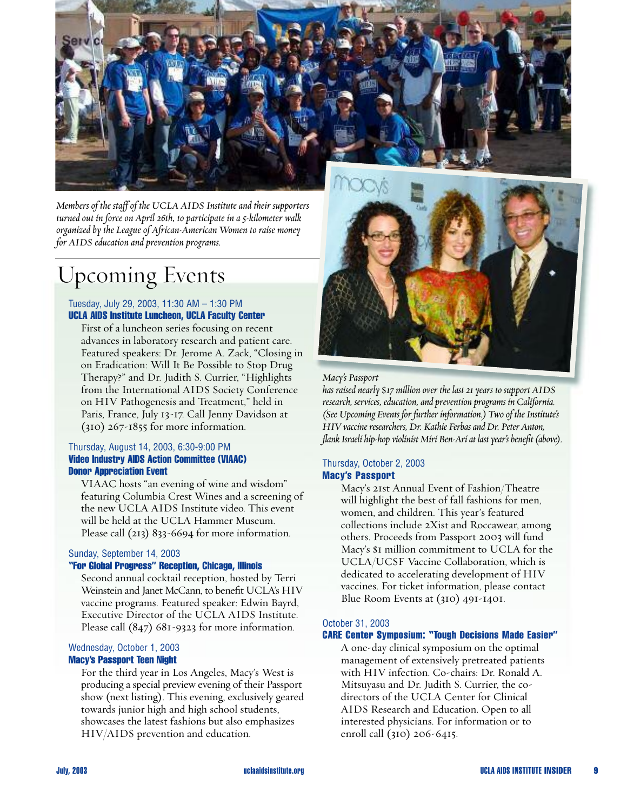

*Members of the staff of the UCLA AIDS Institute and their supporters turned out in force on April 26th, to participate in a 5-kilometer walk organized by the League of African-American Women to raise money for AIDS education and prevention programs.*

# Upcoming Events

#### Tuesday, July 29, 2003, 11:30 AM – 1:30 PM **UCLA AIDS Institute Luncheon, UCLA Faculty Center**

First of a luncheon series focusing on recent advances in laboratory research and patient care. Featured speakers: Dr. Jerome A. Zack, "Closing in on Eradication: Will It Be Possible to Stop Drug Therapy?" and Dr. Judith S. Currier, "Highlights from the International AIDS Society Conference on HIV Pathogenesis and Treatment," held in Paris, France, July 13-17. Call Jenny Davidson at (310) 267-1855 for more information.

#### Thursday, August 14, 2003, 6:30-9:00 PM **Video Industry AIDS Action Committee (VIAAC) Donor Appreciation Event**

VIAAC hosts "an evening of wine and wisdom" featuring Columbia Crest Wines and a screening of the new UCLA AIDS Institute video. This event will be held at the UCLA Hammer Museum. Please call (213) 833-6694 for more information.

#### Sunday, September 14, 2003

#### **"For Global Progress" Reception, Chicago, Illinois**

Second annual cocktail reception, hosted by Terri Weinstein and Janet McCann, to benefit UCLA's HIV vaccine programs. Featured speaker: Edwin Bayrd, Executive Director of the UCLA AIDS Institute. Please call (847) 681-9323 for more information.

# Wednesday, October 1, 2003

#### **Macy's Passport Teen Night**

For the third year in Los Angeles, Macy's West is producing a special preview evening of their Passport show (next listing). This evening, exclusively geared towards junior high and high school students, showcases the latest fashions but also emphasizes HIV/AIDS prevention and education.



#### *Macy's Passport*

*has raised nearly \$17 million over the last 21 years to support AIDS research, services, education, and prevention programs in California. (See Upcoming Events for further information.) Two of the Institute's HIV vaccine researchers, Dr. Kathie Ferbas and Dr. Peter Anton, flank Israeli hip-hop violinist Miri Ben-Ari at last year's benefit (above).*

#### Thursday, October 2, 2003 **Macy's Passport**

Macy's 21st Annual Event of Fashion/Theatre will highlight the best of fall fashions for men, women, and children. This year's featured collections include 2Xist and Roccawear, among others. Proceeds from Passport 2003 will fund Macy's \$1 million commitment to UCLA for the UCLA/UCSF Vaccine Collaboration, which is dedicated to accelerating development of HIV vaccines. For ticket information, please contact Blue Room Events at (310) 491-1401.

#### October 31, 2003

#### **CARE Center Symposium: "Tough Decisions Made Easier"**

A one-day clinical symposium on the optimal management of extensively pretreated patients with HIV infection. Co-chairs: Dr. Ronald A. Mitsuyasu and Dr. Judith S. Currier, the codirectors of the UCLA Center for Clinical AIDS Research and Education. Open to all interested physicians. For information or to enroll call (310) 206-6415.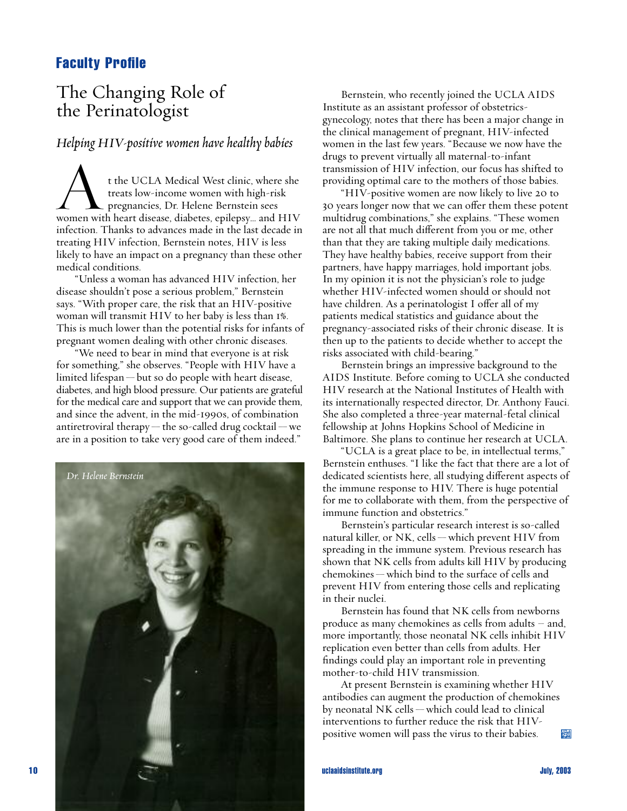# **Faculty Profile**

# The Changing Role of the Perinatologist

#### *Helping HIV-positive women have healthy babies*

t the UCLA Medical West clinic, where she treats low-income women with high-risk pregnancies, Dr. Helene Bernstein sees women with heart disease, diabetes, epilepsy… and HIV infection. Thanks to advances made in the last decade in treating HIV infection, Bernstein notes, HIV is less likely to have an impact on a pregnancy than these other medical conditions.

"Unless a woman has advanced HIV infection, her disease shouldn't pose a serious problem," Bernstein says. "With proper care, the risk that an HIV-positive woman will transmit HIV to her baby is less than 1%. This is much lower than the potential risks for infants of pregnant women dealing with other chronic diseases.

"We need to bear in mind that everyone is at risk for something," she observes. "People with HIV have a limited lifespan — but so do people with heart disease, diabetes, and high blood pressure. Our patients are grateful for the medical care and support that we can provide them, and since the advent, in the mid-1990s, of combination antiretroviral therapy — the so-called drug cocktail — we are in a position to take very good care of them indeed."



Bernstein, who recently joined the UCLA AIDS Institute as an assistant professor of obstetricsgynecology, notes that there has been a major change in the clinical management of pregnant, HIV-infected women in the last few years. "Because we now have the drugs to prevent virtually all maternal-to-infant transmission of HIV infection, our focus has shifted to providing optimal care to the mothers of those babies.

"HIV-positive women are now likely to live 20 to 30 years longer now that we can offer them these potent multidrug combinations," she explains. "These women are not all that much different from you or me, other than that they are taking multiple daily medications. They have healthy babies, receive support from their partners, have happy marriages, hold important jobs. In my opinion it is not the physician's role to judge whether HIV-infected women should or should not have children. As a perinatologist I offer all of my patients medical statistics and guidance about the pregnancy-associated risks of their chronic disease. It is then up to the patients to decide whether to accept the risks associated with child-bearing."

Bernstein brings an impressive background to the AIDS Institute. Before coming to UCLA she conducted HIV research at the National Institutes of Health with its internationally respected director, Dr. Anthony Fauci. She also completed a three-year maternal-fetal clinical fellowship at Johns Hopkins School of Medicine in Baltimore. She plans to continue her research at UCLA.

"UCLA is a great place to be, in intellectual terms," Bernstein enthuses. "I like the fact that there are a lot of dedicated scientists here, all studying different aspects of the immune response to HIV. There is huge potential for me to collaborate with them, from the perspective of immune function and obstetrics."

Bernstein's particular research interest is so-called natural killer, or NK, cells — which prevent HIV from spreading in the immune system. Previous research has shown that NK cells from adults kill HIV by producing chemokines — which bind to the surface of cells and prevent HIV from entering those cells and replicating in their nuclei.

Bernstein has found that NK cells from newborns produce as many chemokines as cells from adults – and, more importantly, those neonatal NK cells inhibit HIV replication even better than cells from adults. Her findings could play an important role in preventing mother-to-child HIV transmission.

At present Bernstein is examining whether HIV antibodies can augment the production of chemokines by neonatal NK cells — which could lead to clinical interventions to further reduce the risk that HIVpositive women will pass the virus to their babies. **LGLA**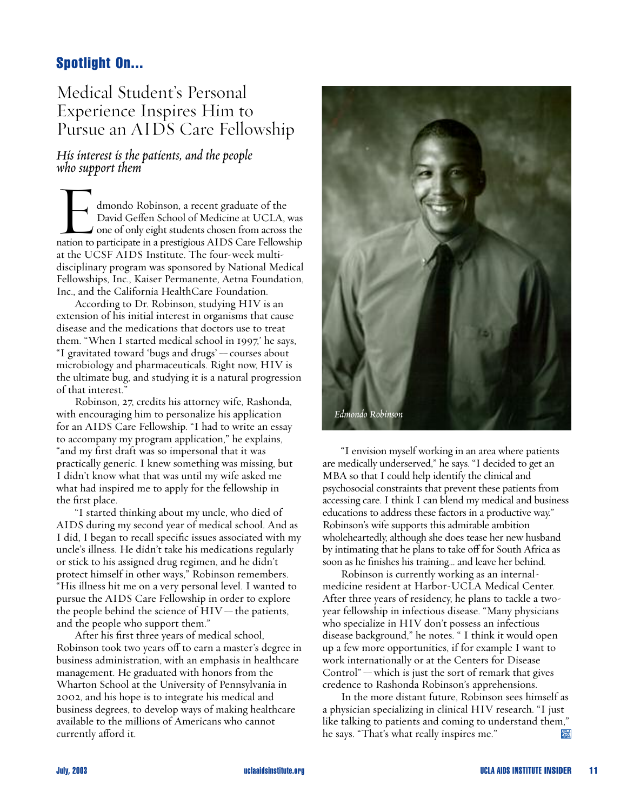# **Spotlight On...**

# Medical Student's Personal Experience Inspires Him to Pursue an AIDS Care Fellowship

### *His interest is the patients, and the people who support them*

Who support them<br>
dmondo Robinson, a recent graduate of the<br>
David Geffen School of Medicine at UCLA, was<br>
one of only eight students chosen from across the David Geffen School of Medicine at UCLA, was nation to participate in a prestigious AIDS Care Fellowship at the UCSF AIDS Institute. The four-week multidisciplinary program was sponsored by National Medical Fellowships, Inc., Kaiser Permanente, Aetna Foundation, Inc., and the California HealthCare Foundation.

According to Dr. Robinson, studying HIV is an extension of his initial interest in organisms that cause disease and the medications that doctors use to treat them. "When I started medical school in 1997,' he says, "I gravitated toward 'bugs and drugs' — courses about microbiology and pharmaceuticals. Right now, HIV is the ultimate bug, and studying it is a natural progression of that interest."

Robinson, 27, credits his attorney wife, Rashonda, with encouraging him to personalize his application for an AIDS Care Fellowship. "I had to write an essay to accompany my program application," he explains, "and my first draft was so impersonal that it was practically generic. I knew something was missing, but I didn't know what that was until my wife asked me what had inspired me to apply for the fellowship in the first place.

"I started thinking about my uncle, who died of AIDS during my second year of medical school. And as I did, I began to recall specific issues associated with my uncle's illness. He didn't take his medications regularly or stick to his assigned drug regimen, and he didn't protect himself in other ways," Robinson remembers. "His illness hit me on a very personal level. I wanted to pursue the AIDS Care Fellowship in order to explore the people behind the science of  $HIV$  — the patients, and the people who support them."

After his first three years of medical school, Robinson took two years off to earn a master's degree in business administration, with an emphasis in healthcare management. He graduated with honors from the Wharton School at the University of Pennsylvania in 2002, and his hope is to integrate his medical and business degrees, to develop ways of making healthcare available to the millions of Americans who cannot currently afford it.



"I envision myself working in an area where patients are medically underserved," he says. "I decided to get an MBA so that I could help identify the clinical and psychosocial constraints that prevent these patients from accessing care. I think I can blend my medical and business educations to address these factors in a productive way." Robinson's wife supports this admirable ambition wholeheartedly, although she does tease her new husband by intimating that he plans to take off for South Africa as soon as he finishes his training… and leave her behind.

Robinson is currently working as an internalmedicine resident at Harbor-UCLA Medical Center. After three years of residency, he plans to tackle a twoyear fellowship in infectious disease. "Many physicians who specialize in HIV don't possess an infectious disease background," he notes. " I think it would open up a few more opportunities, if for example I want to work internationally or at the Centers for Disease  $Control$ " — which is just the sort of remark that gives credence to Rashonda Robinson's apprehensions.

In the more distant future, Robinson sees himself as a physician specializing in clinical HIV research. "I just like talking to patients and coming to understand them," he says. "That's what really inspires me." AIDS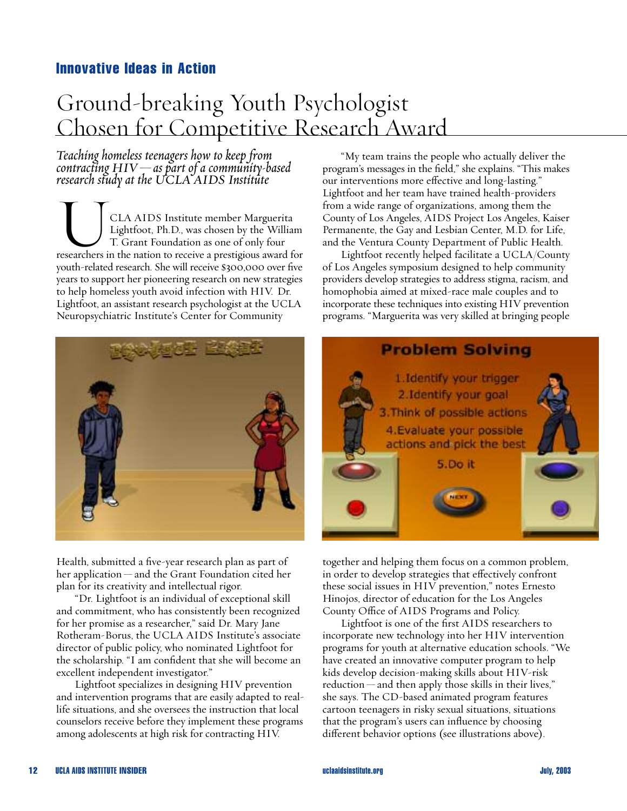# **Innovative Ideas in Action Innovative Ideas in Action**

# $\overline{G}$  11 1. Ground-breaking Youth Psychologist Chosen for Competitive Research Award

*Teaching homeless teenagers how to keep from contracting HIV—as part of a community-based research study at the UCLA AIDS Institute*

CLA AIDS Institute member Marguerita Lightfoot, Ph.D., was chosen by the William T. Grant Foundation as one of only four researchers in the nation to receive a prestigious award for youth-related research. She will receive \$300,000 over five years to support her pioneering research on new strategies to help homeless youth avoid infection with HIV. Dr. Lightfoot, an assistant research psychologist at the UCLA Neuropsychiatric Institute's Center for Community



Health, submitted a five-year research plan as part of her application — and the Grant Foundation cited her plan for its creativity and intellectual rigor.

"Dr. Lightfoot is an individual of exceptional skill and commitment, who has consistently been recognized for her promise as a researcher," said Dr. Mary Jane Rotheram-Borus, the UCLA AIDS Institute's associate director of public policy, who nominated Lightfoot for the scholarship. "I am confident that she will become an excellent independent investigator."

Lightfoot specializes in designing HIV prevention and intervention programs that are easily adapted to reallife situations, and she oversees the instruction that local counselors receive before they implement these programs among adolescents at high risk for contracting HIV.

"My team trains the people who actually deliver the program's messages in the field," she explains. "This makes our interventions more effective and long-lasting." Lightfoot and her team have trained health-providers from a wide range of organizations, among them the County of Los Angeles, AIDS Project Los Angeles, Kaiser Permanente, the Gay and Lesbian Center, M.D. for Life, and the Ventura County Department of Public Health.

Lightfoot recently helped facilitate a UCLA/County of Los Angeles symposium designed to help community providers develop strategies to address stigma, racism, and homophobia aimed at mixed-race male couples and to incorporate these techniques into existing HIV prevention programs. "Marguerita was very skilled at bringing people



together and helping them focus on a common problem, in order to develop strategies that effectively confront these social issues in HIV prevention," notes Ernesto Hinojos, director of education for the Los Angeles County Office of AIDS Programs and Policy.

Lightfoot is one of the first AIDS researchers to incorporate new technology into her HIV intervention programs for youth at alternative education schools. "We have created an innovative computer program to help kids develop decision-making skills about HIV-risk reduction — and then apply those skills in their lives," she says. The CD-based animated program features cartoon teenagers in risky sexual situations, situations that the program's users can influence by choosing different behavior options (see illustrations above).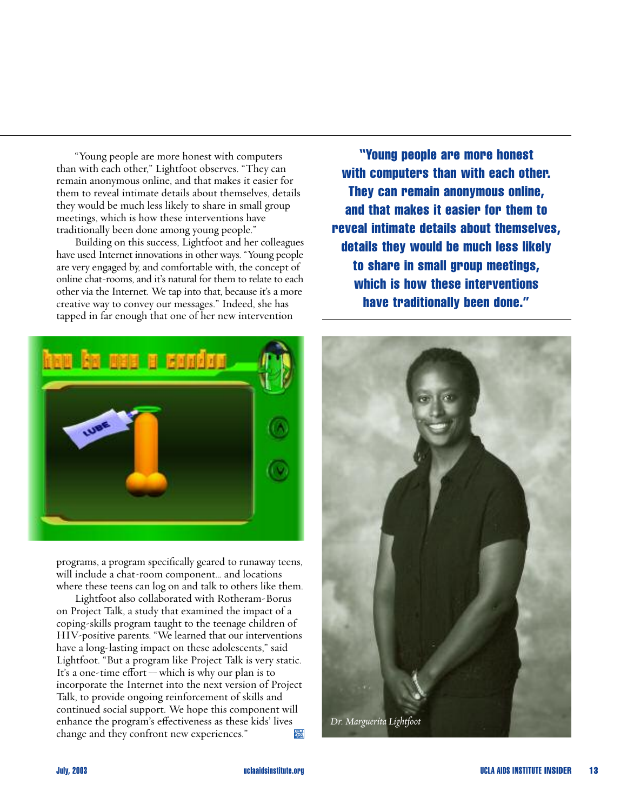"Young people are more honest with computers than with each other," Lightfoot observes. "They can remain anonymous online, and that makes it easier for them to reveal intimate details about themselves, details they would be much less likely to share in small group meetings, which is how these interventions have traditionally been done among young people."

Building on this success, Lightfoot and her colleagues have used Internet innovations in other ways. "Young people are very engaged by, and comfortable with, the concept of online chat-rooms, and it's natural for them to relate to each other via the Internet. We tap into that, because it's a more creative way to convey our messages." Indeed, she has tapped in far enough that one of her new intervention



programs, a program specifically geared to runaway teens, will include a chat-room component… and locations where these teens can log on and talk to others like them.

Lightfoot also collaborated with Rotheram-Borus on Project Talk, a study that examined the impact of a coping-skills program taught to the teenage children of HIV-positive parents. "We learned that our interventions have a long-lasting impact on these adolescents," said Lightfoot. "But a program like Project Talk is very static. It's a one-time effort — which is why our plan is to incorporate the Internet into the next version of Project Talk, to provide ongoing reinforcement of skills and continued social support. We hope this component will enhance the program's effectiveness as these kids' lives change and they confront new experiences." **King** 

**"Young people are more honest with computers than with each other. They can remain anonymous online, and that makes it easier for them to reveal intimate details about themselves, details they would be much less likely to share in small group meetings, which is how these interventions have traditionally been done."** 

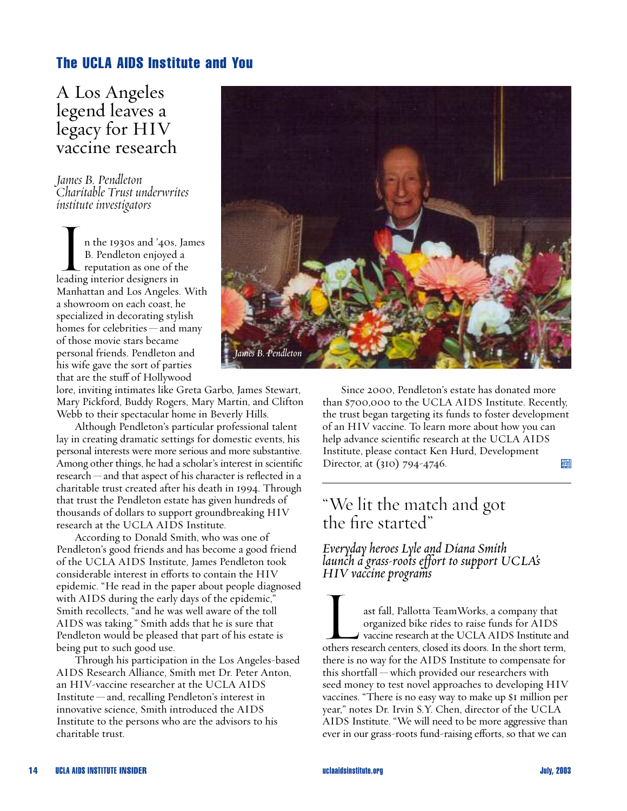# **The UCLA AIDS Institute and You**

A Los Angeles legend leaves a legacy for HIV vaccine research

*James B. Pendleton Charitable Trust underwrites institute investigators*

In the 1930s and '40s, James B. Pendleton enjoyed a reputation as one of the leading interior designers in Manhattan and Los Angeles. With a showroom on each coast, he specialized in decorating stylish homes for celebrities— and many of those movie stars became personal friends. Pendleton and his wife gave the sort of parties that are the stuff of Hollywood

lore, inviting intimates like Greta Garbo, James Stewart, Mary Pickford, Buddy Rogers, Mary Martin, and Clifton Webb to their spectacular home in Beverly Hills.

Although Pendleton's particular professional talent lay in creating dramatic settings for domestic events, his personal interests were more serious and more substantive. Among other things, he had a scholar's interest in scientific research—and that aspect of his character is reflected in a charitable trust created after his death in 1994. Through that trust the Pendleton estate has given hundreds of thousands of dollars to support groundbreaking HIV research at the UCLA AIDS Institute.

According to Donald Smith, who was one of Pendleton's good friends and has become a good friend of the UCLA AIDS Institute, James Pendleton took considerable interest in efforts to contain the HIV epidemic. "He read in the paper about people diagnosed with AIDS during the early days of the epidemic," Smith recollects, "and he was well aware of the toll AIDS was taking." Smith adds that he is sure that Pendleton would be pleased that part of his estate is being put to such good use.

Through his participation in the Los Angeles-based AIDS Research Alliance, Smith met Dr. Peter Anton, an HIV-vaccine researcher at the UCLA AIDS Institute — and, recalling Pendleton's interest in innovative science, Smith introduced the AIDS Institute to the persons who are the advisors to his charitable trust.



Since 2000, Pendleton's estate has donated more than \$700,000 to the UCLA AIDS Institute. Recently, the trust began targeting its funds to foster development of an HIV vaccine. To learn more about how you can help advance scientific research at the UCLA AIDS Institute, please contact Ken Hurd, Development  $\frac{1.01 \text{ A}}{4 \text{ m/s}}$ Director, at (310) 794-4746.

# "We lit the match and got the fire started"

*Everyday heroes Lyle and Diana Smith launch a grass-roots effort to support UCLA's HIV vaccine programs*

HIV vaccine programs<br>ast fall, Pallotta TeamWorks, a company that<br>organized bike rides to raise funds for AIDS<br>vaccine research at the UCLA AIDS Institute and organized bike rides to raise funds for AIDS others research centers, closed its doors. In the short term, there is no way for the AIDS Institute to compensate for this shortfall — which provided our researchers with seed money to test novel approaches to developing HIV vaccines. "There is no easy way to make up \$1 million per year," notes Dr. Irvin S.Y. Chen, director of the UCLA AIDS Institute. "We will need to be more aggressive than ever in our grass-roots fund-raising efforts, so that we can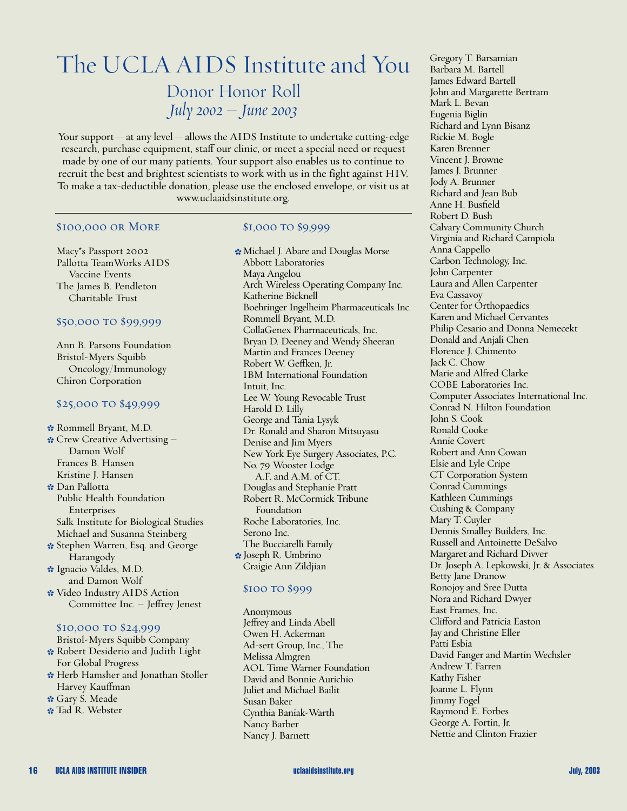# The UCLA AIDS Institute and You

Donor Honor Roll *July 2002 – June 2003*

Your support—at any level—allows the AIDS Institute to undertake cutting-edge research, purchase equipment, staff our clinic, or meet a special need or request made by one of our many patients. Your support also enables us to continue to recruit the best and brightest scientists to work with us in the fight against HIV. To make a tax-deductible donation, please use the enclosed envelope, or visit us at www.uclaaidsinstitute.org.

#### \$100,000 or More

Macy\*s Passport 2002 Pallotta TeamWorks AIDS Vaccine Events The James B. Pendleton Charitable Trust

#### \$50,000 to \$99,999

Ann B. Parsons Foundation Bristol-Myers Squibb Oncology/Immunology Chiron Corporation

#### \$25,000 to \$49,999

\* Rommell Bryant, M.D.  $\cdot$  Crew Creative Advertising -Damon Wolf Frances B. Hansen Kristine J. Hansen Dan Pallotta - Public Health Foundation Enterprises Salk Institute for Biological Studies Michael and Susanna Steinberg \* Stephen Warren, Esq. and George Harangody \* Ignacio Valdes, M.D. and Damon Wolf Video Industry AIDS Action -

Committee Inc. – Jeffrey Jenest

#### \$10,000 to \$24,999

Bristol-Myers Squibb Company \* Robert Desiderio and Judith Light For Global Progress **\*** Herb Hamsher and Jonathan Stoller Harvey Kauffman \* Garv S. Meade \* Tad R. Webster

#### \$1,000 to \$9,999

Michael J. Abare and Douglas Morse - Abbott Laboratories Maya Angelou Arch Wireless Operating Company Inc. Katherine Bicknell Boehringer Ingelheim Pharmaceuticals Inc. Rommell Bryant, M.D. CollaGenex Pharmaceuticals, Inc. Bryan D. Deeney and Wendy Sheeran Martin and Frances Deeney Robert W. Geffken, Jr. IBM International Foundation Intuit, Inc. Lee W. Young Revocable Trust Harold D. Lilly George and Tania Lysyk Dr. Ronald and Sharon Mitsuyasu Denise and Jim Myers New York Eye Surgery Associates, P.C. No. 79 Wooster Lodge A.F. and A.M. of CT. Douglas and Stephanie Pratt Robert R. McCormick Tribune Foundation Roche Laboratories, Inc. Serono Inc. The Bucciarelli Family **\*** Joseph R. Umbrino Craigie Ann Zildjian

#### \$100 TO \$999

Anonymous Jeffrey and Linda Abell Owen H. Ackerman Ad-sert Group, Inc., The Melissa Almgren AOL Time Warner Foundation David and Bonnie Aurichio Juliet and Michael Bailit Susan Baker Cynthia Baniak-Warth Nancy Barber Nancy J. Barnett

Gregory T. Barsamian Barbara M. Bartell James Edward Bartell John and Margarette Bertram Mark L. Bevan Eugenia Biglin Richard and Lynn Bisanz Rickie M. Bogle Karen Brenner Vincent J. Browne James J. Brunner Jody A. Brunner Richard and Jean Bub Anne H. Busfield Robert D. Bush Calvary Community Church Virginia and Richard Campiola Anna Cappello Carbon Technology, Inc. John Carpenter Laura and Allen Carpenter Eva Cassavoy Center for Orthopaedics Karen and Michael Cervantes Philip Cesario and Donna Nemecekt Donald and Anjali Chen Florence J. Chimento Jack C. Chow Marie and Alfred Clarke COBE Laboratories Inc. Computer Associates International Inc. Conrad N. Hilton Foundation John S. Cook Ronald Cooke Annie Covert Robert and Ann Cowan Elsie and Lyle Cripe CT Corporation System Conrad Cummings Kathleen Cummings Cushing & Company Mary T. Cuyler Dennis Smalley Builders, Inc. Russell and Antoinette DeSalvo Margaret and Richard Divver Dr. Joseph A. Lepkowski, Jr. & Associates Betty Jane Dranow Ronojoy and Sree Dutta Nora and Richard Dwyer East Frames, Inc. Clifford and Patricia Easton Jay and Christine Eller Patti Esbia David Fanger and Martin Wechsler Andrew T. Farren Kathy Fisher Joanne L. Flynn Jimmy Fogel Raymond E. Forbes George A. Fortin, Jr. Nettie and Clinton Frazier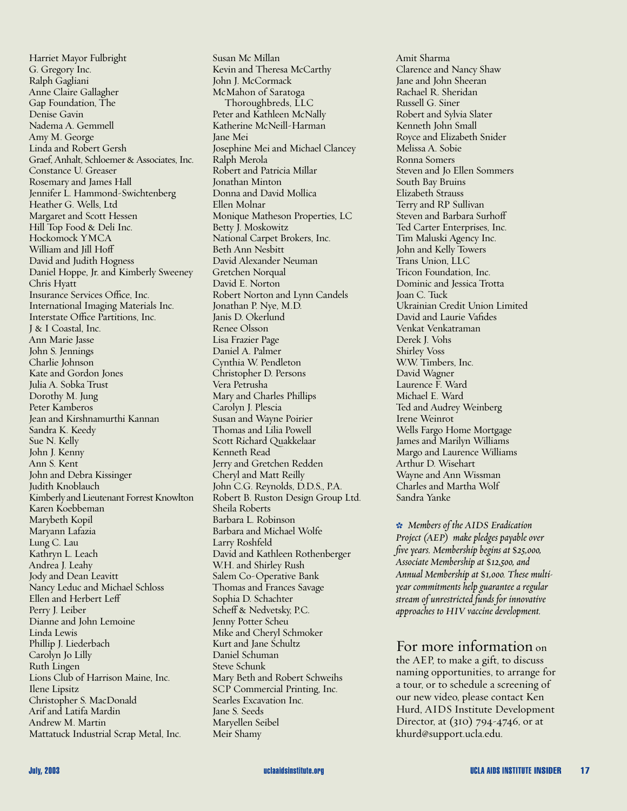Harriet Mayor Fulbright G. Gregory Inc. Ralph Gagliani Anne Claire Gallagher Gap Foundation, The Denise Gavin Nadema A. Gemmell Amy M. George Linda and Robert Gersh Graef, Anhalt, Schloemer & Associates, Inc. Constance U. Greaser Rosemary and James Hall Jennifer L. Hammond-Swichtenberg Heather G. Wells, Ltd Margaret and Scott Hessen Hill Top Food & Deli Inc. Hockomock YMCA William and Jill Hoff David and Judith Hogness Daniel Hoppe, Jr. and Kimberly Sweeney Chris Hyatt Insurance Services Office, Inc. International Imaging Materials Inc. Interstate Office Partitions, Inc. J & I Coastal, Inc. Ann Marie Jasse John S. Jennings Charlie Johnson Kate and Gordon Jones Julia A. Sobka Trust Dorothy M. Jung Peter Kamberos Jean and Kirshnamurthi Kannan Sandra K. Keedy Sue N. Kelly John J. Kenny Ann S. Kent John and Debra Kissinger Judith Knoblauch Kimberly and Lieutenant Forrest Knowlton Karen Koebbeman Marybeth Kopil Maryann Lafazia Lung C. Lau Kathryn L. Leach Andrea J. Leahy Jody and Dean Leavitt Nancy Leduc and Michael Schloss Ellen and Herbert Leff Perry J. Leiber Dianne and John Lemoine Linda Lewis Phillip J. Liederbach Carolyn Jo Lilly Ruth Lingen Lions Club of Harrison Maine, Inc. Ilene Lipsitz Christopher S. MacDonald Arif and Latifa Mardin Andrew M. Martin Mattatuck Industrial Scrap Metal, Inc.

Susan Mc Millan Kevin and Theresa McCarthy John J. McCormack McMahon of Saratoga Thoroughbreds, LLC Peter and Kathleen McNally Katherine McNeill-Harman Jane Mei Josephine Mei and Michael Clancey Ralph Merola Robert and Patricia Millar Jonathan Minton Donna and David Mollica Ellen Molnar Monique Matheson Properties, LC Betty J. Moskowitz National Carpet Brokers, Inc. Beth Ann Nesbitt David Alexander Neuman Gretchen Norqual David E. Norton Robert Norton and Lynn Candels Jonathan P. Nye, M.D. Janis D. Okerlund Renee Olsson Lisa Frazier Page Daniel A. Palmer Cynthia W. Pendleton Christopher D. Persons Vera Petrusha Mary and Charles Phillips Carolyn J. Plescia Susan and Wayne Poirier Thomas and Lilia Powell Scott Richard Quakkelaar Kenneth Read Jerry and Gretchen Redden Cheryl and Matt Reilly John C.G. Reynolds, D.D.S., P.A. Robert B. Ruston Design Group Ltd. Sheila Roberts Barbara L. Robinson Barbara and Michael Wolfe Larry Roshfeld David and Kathleen Rothenberger W.H. and Shirley Rush Salem Co-Operative Bank Thomas and Frances Savage Sophia D. Schachter Scheff & Nedvetsky, P.C. Jenny Potter Scheu Mike and Cheryl Schmoker Kurt and Jane Schultz Daniel Schuman Steve Schunk Mary Beth and Robert Schweihs SCP Commercial Printing, Inc. Searles Excavation Inc. Jane S. Seeds Maryellen Seibel Meir Shamy

Amit Sharma Clarence and Nancy Shaw Jane and John Sheeran Rachael R. Sheridan Russell G. Siner Robert and Sylvia Slater Kenneth John Small Royce and Elizabeth Snider Melissa A. Sobie Ronna Somers Steven and Jo Ellen Sommers South Bay Bruins Elizabeth Strauss Terry and RP Sullivan Steven and Barbara Surhoff Ted Carter Enterprises, Inc. Tim Maluski Agency Inc. John and Kelly Towers Trans Union, LLC Tricon Foundation, Inc. Dominic and Jessica Trotta Joan C. Tuck Ukrainian Credit Union Limited David and Laurie Vafides Venkat Venkatraman Derek J. Vohs Shirley Voss W.W. Timbers, Inc. David Wagner Laurence F. Ward Michael E. Ward Ted and Audrey Weinberg Irene Weinrot Wells Fargo Home Mortgage James and Marilyn Williams Margo and Laurence Williams Arthur D. Wisehart Wayne and Ann Wissman Charles and Martha Wolf Sandra Yanke

- *Members of the AIDS Eradication Project (AEP) make pledges payable over five years. Membership begins at \$25,000, Associate Membership at \$12,500, and Annual Membership at \$1,000. These multiyear commitments help guarantee a regular stream of unrestricted funds for innovative approaches to HIV vaccine development.*

#### For more information on

the AEP, to make a gift, to discuss naming opportunities, to arrange for a tour, or to schedule a screening of our new video, please contact Ken Hurd, AIDS Institute Development Director, at (310) 794-4746, or at khurd@support.ucla.edu.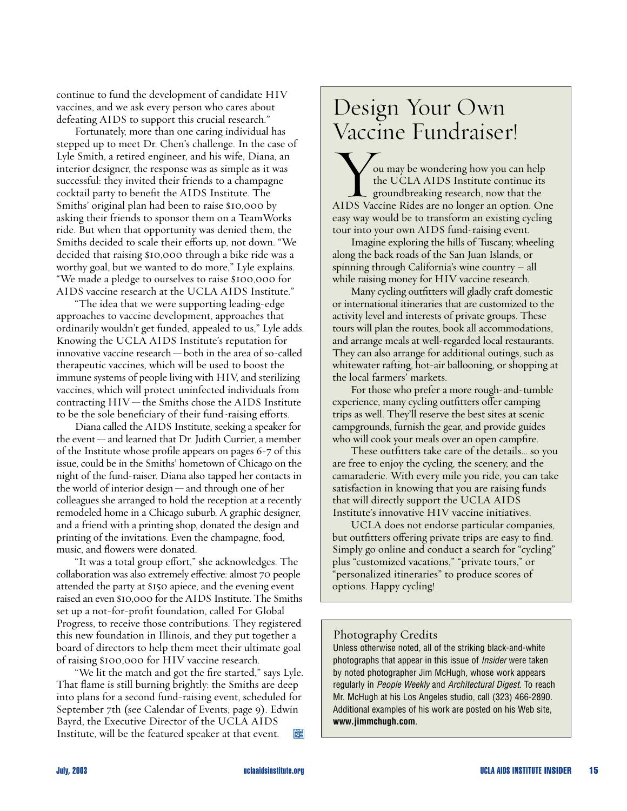continue to fund the development of candidate HIV vaccines, and we ask every person who cares about defeating AIDS to support this crucial research."

Fortunately, more than one caring individual has stepped up to meet Dr. Chen's challenge. In the case of Lyle Smith, a retired engineer, and his wife, Diana, an interior designer, the response was as simple as it was successful: they invited their friends to a champagne cocktail party to benefit the AIDS Institute. The Smiths' original plan had been to raise \$10,000 by asking their friends to sponsor them on a TeamWorks ride. But when that opportunity was denied them, the Smiths decided to scale their efforts up, not down. "We decided that raising \$10,000 through a bike ride was a worthy goal, but we wanted to do more," Lyle explains. "We made a pledge to ourselves to raise \$100,000 for AIDS vaccine research at the UCLA AIDS Institute."

"The idea that we were supporting leading-edge approaches to vaccine development, approaches that ordinarily wouldn't get funded, appealed to us," Lyle adds. Knowing the UCLA AIDS Institute's reputation for innovative vaccine research— both in the area of so-called therapeutic vaccines, which will be used to boost the immune systems of people living with HIV, and sterilizing vaccines, which will protect uninfected individuals from contracting  $HIV$ —the Smiths chose the AIDS Institute to be the sole beneficiary of their fund-raising efforts.

Diana called the AIDS Institute, seeking a speaker for the event—and learned that Dr. Judith Currier, a member of the Institute whose profile appears on pages 6-7 of this issue, could be in the Smiths' hometown of Chicago on the night of the fund-raiser. Diana also tapped her contacts in the world of interior design — and through one of her colleagues she arranged to hold the reception at a recently remodeled home in a Chicago suburb. A graphic designer, and a friend with a printing shop, donated the design and printing of the invitations. Even the champagne, food, music, and flowers were donated.

"It was a total group eΩort," she acknowledges. The collaboration was also extremely effective: almost 70 people attended the party at \$150 apiece, and the evening event raised an even \$10,000 for the AIDS Institute. The Smiths set up a not-for-profit foundation, called For Global Progress, to receive those contributions. They registered this new foundation in Illinois, and they put together a board of directors to help them meet their ultimate goal of raising \$100,000 for HIV vaccine research.

"We lit the match and got the fire started," says Lyle. That flame is still burning brightly: the Smiths are deep into plans for a second fund-raising event, scheduled for September 7th (see Calendar of Events, page 9). Edwin Bayrd, the Executive Director of the UCLA AIDS Institute, will be the featured speaker at that event. ADS

# Design Your Own Vaccine Fundraiser!

ou may be wondering how you can help the UCLA AIDS Institute continue its groundbreaking research, now that the AIDS Vaccine Rides are no longer an option. One easy way would be to transform an existing cycling tour into your own AIDS fund-raising event.

Imagine exploring the hills of Tuscany, wheeling along the back roads of the San Juan Islands, or spinning through California's wine country – all while raising money for HIV vaccine research.

Many cycling outfitters will gladly craft domestic or international itineraries that are customized to the activity level and interests of private groups. These tours will plan the routes, book all accommodations, and arrange meals at well-regarded local restaurants. They can also arrange for additional outings, such as whitewater rafting, hot-air ballooning, or shopping at the local farmers' markets.

For those who prefer a more rough-and-tumble experience, many cycling outfitters offer camping trips as well. They'll reserve the best sites at scenic campgrounds, furnish the gear, and provide guides who will cook your meals over an open campfire.

These outfitters take care of the details… so you are free to enjoy the cycling, the scenery, and the camaraderie. With every mile you ride, you can take satisfaction in knowing that you are raising funds that will directly support the UCLA AIDS Institute's innovative HIV vaccine initiatives.

UCLA does not endorse particular companies, but outfitters offering private trips are easy to find. Simply go online and conduct a search for "cycling" plus "customized vacations," "private tours," or "personalized itineraries" to produce scores of options. Happy cycling!

#### Photography Credits

Unless otherwise noted, all of the striking black-and-white photographs that appear in this issue of *Insider* were taken by noted photographer Jim McHugh, whose work appears regularly in *People Weekly* and *Architectural Digest*. To reach Mr. McHugh at his Los Angeles studio, call (323) 466-2890. Additional examples of his work are posted on his Web site, **www.jimmchugh.com**.